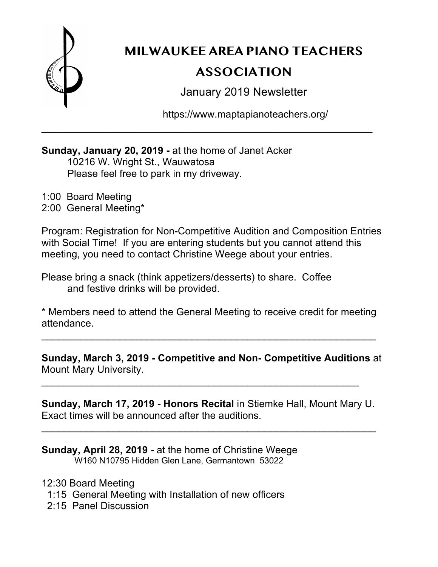

**MILWAUKEE AREA PIANO TEACHERS** 

# **ASSOCIATION**

January 2019 Newsletter

https://www.maptapianoteachers.org/

# **Sunday, January 20, 2019 -** at the home of Janet Acker 10216 W. Wright St., Wauwatosa Please feel free to park in my driveway.

1:00 Board Meeting 2:00 General Meeting\*

Program: Registration for Non-Competitive Audition and Composition Entries with Social Time! If you are entering students but you cannot attend this meeting, you need to contact Christine Weege about your entries.

\_\_\_\_\_\_\_\_\_\_\_\_\_\_\_\_\_\_\_\_\_\_\_\_\_\_\_\_\_\_\_\_\_\_\_\_\_\_\_\_\_\_\_\_\_\_\_\_\_\_\_\_

Please bring a snack (think appetizers/desserts) to share. Coffee and festive drinks will be provided.

\* Members need to attend the General Meeting to receive credit for meeting attendance.

 $\mathcal{L}_\text{max}$  and  $\mathcal{L}_\text{max}$  and  $\mathcal{L}_\text{max}$  and  $\mathcal{L}_\text{max}$  and  $\mathcal{L}_\text{max}$  and  $\mathcal{L}_\text{max}$ 

**Sunday, March 3, 2019 - Competitive and Non- Competitive Auditions** at Mount Mary University.

**Sunday, March 17, 2019 - Honors Recital** in Stiemke Hall, Mount Mary U. Exact times will be announced after the auditions.

 $\mathcal{L}_\text{max}$  and  $\mathcal{L}_\text{max}$  and  $\mathcal{L}_\text{max}$  and  $\mathcal{L}_\text{max}$  and  $\mathcal{L}_\text{max}$  and  $\mathcal{L}_\text{max}$ 

 $\mathcal{L}_\text{max}$  and  $\mathcal{L}_\text{max}$  and  $\mathcal{L}_\text{max}$  and  $\mathcal{L}_\text{max}$  and  $\mathcal{L}_\text{max}$  and  $\mathcal{L}_\text{max}$ 

**Sunday, April 28, 2019 -** at the home of Christine Weege W160 N10795 Hidden Glen Lane, Germantown 53022

12:30 Board Meeting

- 1:15 General Meeting with Installation of new officers
- 2:15 Panel Discussion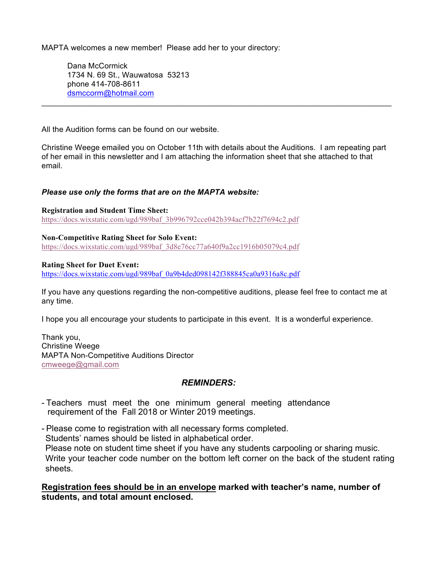MAPTA welcomes a new member! Please add her to your directory:

Dana McCormick 1734 N. 69 St., Wauwatosa 53213 phone 414-708-8611 dsmccorm@hotmail.com

All the Audition forms can be found on our website.

Christine Weege emailed you on October 11th with details about the Auditions. I am repeating part of her email in this newsletter and I am attaching the information sheet that she attached to that email.

 $\mathcal{L}_\text{max}$  , and the contract of the contract of the contract of the contract of the contract of the contract of the contract of the contract of the contract of the contract of the contract of the contract of the contr

#### *Please use only the forms that are on the MAPTA website:*

**Registration and Student Time Sheet:** https://docs.wixstatic.com/ugd/989baf\_3b996792cce042b394acf7b22f7694c2.pdf

**Non-Competitive Rating Sheet for Solo Event:** https://docs.wixstatic.com/ugd/989baf\_3d8e76cc77a640f9a2cc1916b05079c4.pdf

#### **Rating Sheet for Duet Event:**

https://docs.wixstatic.com/ugd/989baf\_0a9b4ded098142f388845ca0a9316a8c.pdf

If you have any questions regarding the non-competitive auditions, please feel free to contact me at any time.

I hope you all encourage your students to participate in this event. It is a wonderful experience.

Thank you, Christine Weege MAPTA Non-Competitive Auditions Director cmweege@gmail.com

#### *REMINDERS:*

- Teachers must meet the one minimum general meeting attendance requirement of the Fall 2018 or Winter 2019 meetings.

- Please come to registration with all necessary forms completed. Students' names should be listed in alphabetical order. Please note on student time sheet if you have any students carpooling or sharing music. Write your teacher code number on the bottom left corner on the back of the student rating sheets.

**Registration fees should be in an envelope marked with teacher's name, number of students, and total amount enclosed.**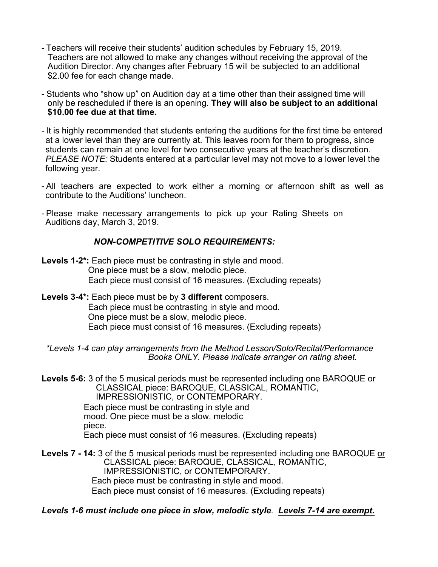- Teachers will receive their students' audition schedules by February 15, 2019. Teachers are not allowed to make any changes without receiving the approval of the Audition Director. Any changes after February 15 will be subjected to an additional \$2.00 fee for each change made.
- Students who "show up" on Audition day at a time other than their assigned time will only be rescheduled if there is an opening. **They will also be subject to an additional \$10.00 fee due at that time.**
- It is highly recommended that students entering the auditions for the first time be entered at a lower level than they are currently at. This leaves room for them to progress, since students can remain at one level for two consecutive years at the teacher's discretion. *PLEASE NOTE:* Students entered at a particular level may not move to a lower level the following year.
- All teachers are expected to work either a morning or afternoon shift as well as contribute to the Auditions' luncheon.
- Please make necessary arrangements to pick up your Rating Sheets on Auditions day, March 3, 2019.

## *NON-COMPETITIVE SOLO REQUIREMENTS:*

- **Levels 1-2\*:** Each piece must be contrasting in style and mood. One piece must be a slow, melodic piece. Each piece must consist of 16 measures. (Excluding repeats)
- **Levels 3-4\*:** Each piece must be by **3 different** composers. Each piece must be contrasting in style and mood. One piece must be a slow, melodic piece. Each piece must consist of 16 measures. (Excluding repeats)
	- *\*Levels 1-4 can play arrangements from the Method Lesson/Solo/Recital/Performance Books ONLY. Please indicate arranger on rating sheet.*
- **Levels 5-6:** 3 of the 5 musical periods must be represented including one BAROQUE or CLASSICAL piece: BAROQUE, CLASSICAL, ROMANTIC, IMPRESSIONISTIC, or CONTEMPORARY.

Each piece must be contrasting in style and mood. One piece must be a slow, melodic piece. Each piece must consist of 16 measures. (Excluding repeats)

**Levels 7 - 14:** 3 of the 5 musical periods must be represented including one BAROQUE or CLASSICAL piece: BAROQUE, CLASSICAL, ROMANTIC, IMPRESSIONISTIC, or CONTEMPORARY. Each piece must be contrasting in style and mood. Each piece must consist of 16 measures. (Excluding repeats)

*Levels 1-6 must include one piece in slow, melodic style*. *Levels 7-14 are exempt.*